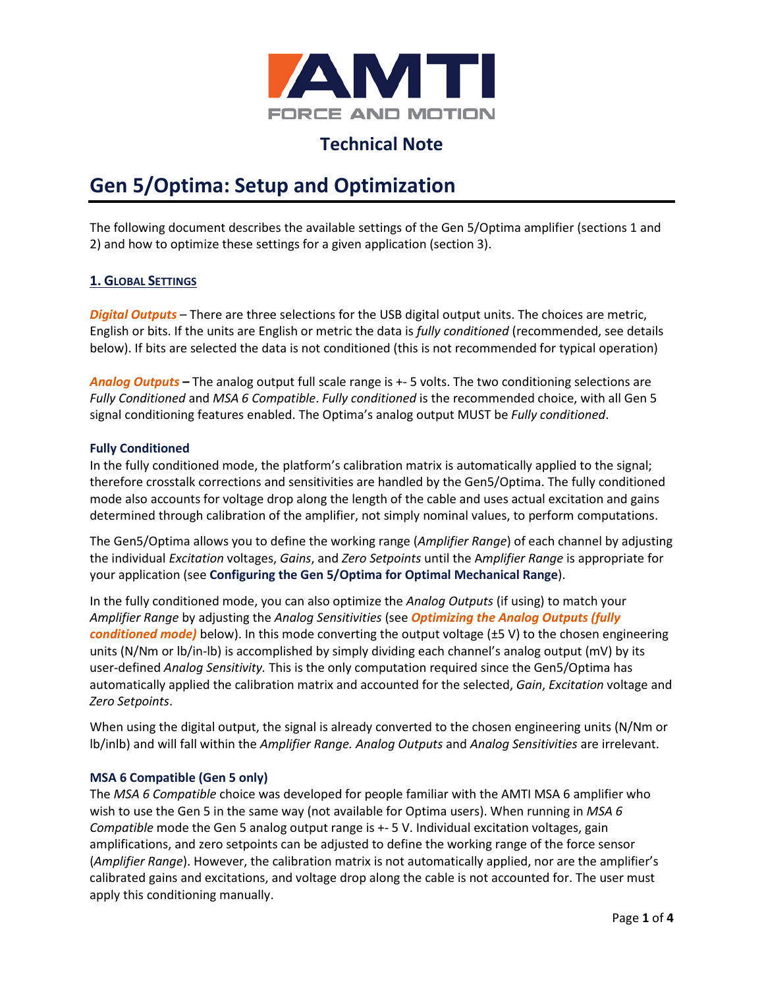

## **Technical Note**

# **Gen 5/Optima: Setup and Optimization**

The following document describes the available settings of the Gen 5/Optima amplifier (sections 1 and 2) and how to optimize these settings for a given application (section 3).

### **1. GLOBAL SETTINGS**

*Digital Outputs* – There are three selections for the USB digital output units. The choices are metric, English or bits. If the units are English or metric the data is *fully conditioned* (recommended, see details below). If bits are selected the data is not conditioned (this is not recommended for typical operation)

*Analog Outputs –* The analog output full scale range is +- 5 volts. The two conditioning selections are *Fully Conditioned* and *MSA 6 Compatible*. *Fully conditioned* is the recommended choice, with all Gen 5 signal conditioning features enabled. The Optima's analog output MUST be *Fully conditioned*.

#### **Fully Conditioned**

In the fully conditioned mode, the platform's calibration matrix is automatically applied to the signal; therefore crosstalk corrections and sensitivities are handled by the Gen5/Optima. The fully conditioned mode also accounts for voltage drop along the length of the cable and uses actual excitation and gains determined through calibration of the amplifier, not simply nominal values, to perform computations.

The Gen5/Optima allows you to define the working range (*Amplifier Range*) of each channel by adjusting the individual *Excitation* voltages, *Gains*, and *Zero Setpoints* until the A*mplifier Range* is appropriate for your application (see **[Configuring the Gen 5/Optima](#page-1-0) for Optimal Mechanical Range**).

In the fully conditioned mode, you can also optimize the *Analog Outputs* (if using) to match your *Amplifier Range* by adjusting the *Analog Sensitivities* (see *[Optimizing the Analog Outputs \(fully](#page-3-0)  [conditioned mode\)](#page-3-0)* below). In this mode converting the output voltage (±5 V) to the chosen engineering units (N/Nm or lb/in-lb) is accomplished by simply dividing each channel's analog output (mV) by its user-defined *Analog Sensitivity.* This is the only computation required since the Gen5/Optima has automatically applied the calibration matrix and accounted for the selected, *Gain*, *Excitation* voltage and *Zero Setpoints*.

When using the digital output, the signal is already converted to the chosen engineering units (N/Nm or lb/inlb) and will fall within the *Amplifier Range. Analog Outputs* and *Analog Sensitivities* are irrelevant.

#### **MSA 6 Compatible (Gen 5 only)**

The *MSA 6 Compatible* choice was developed for people familiar with the AMTI MSA 6 amplifier who wish to use the Gen 5 in the same way (not available for Optima users). When running in *MSA 6 Compatible* mode the Gen 5 analog output range is +- 5 V. Individual excitation voltages, gain amplifications, and zero setpoints can be adjusted to define the working range of the force sensor (*Amplifier Range*). However, the calibration matrix is not automatically applied, nor are the amplifier's calibrated gains and excitations, and voltage drop along the cable is not accounted for. The user must apply this conditioning manually.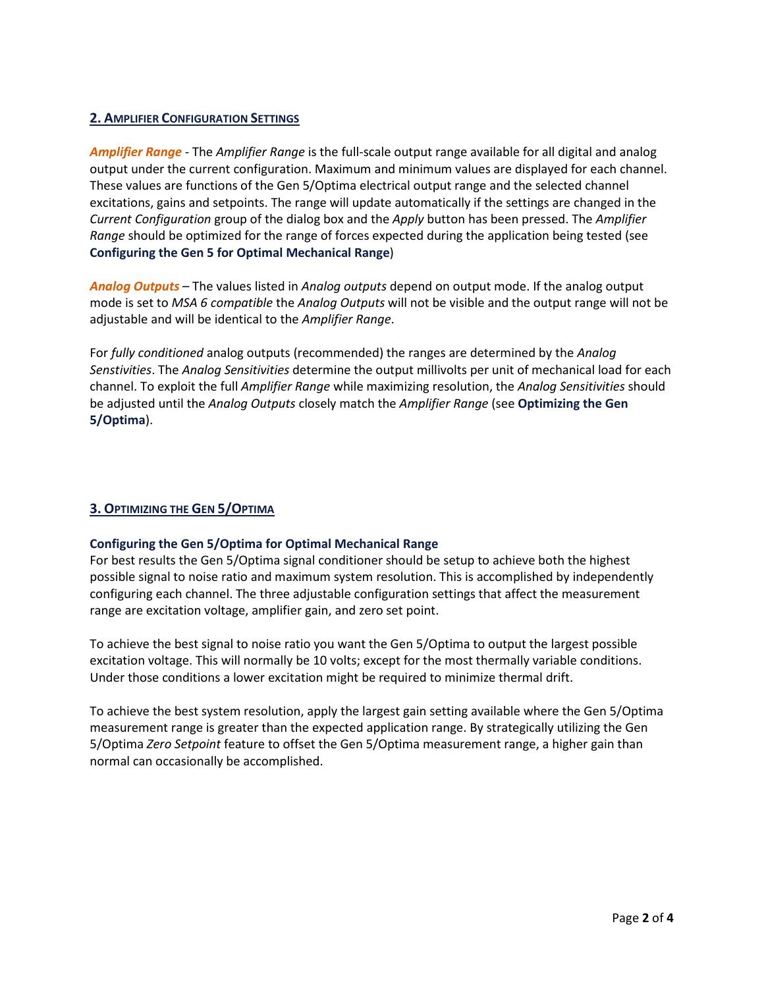#### **2. AMPLIFIER CONFIGURATION SETTINGS**

*Amplifier Range* - The *Amplifier Range* is the full-scale output range available for all digital and analog output under the current configuration. Maximum and minimum values are displayed for each channel. These values are functions of the Gen 5/Optima electrical output range and the selected channel excitations, gains and setpoints. The range will update automatically if the settings are changed in the *Current Configuration* group of the dialog box and the *Apply* button has been pressed. The *Amplifier Range* should be optimized for the range of forces expected during the application being tested (see **Configuring the Gen [5 for Optimal Mechanical Range](#page-1-0)**)

*Analog Outputs* – The values listed in *Analog outputs* depend on output mode. If the analog output mode is set to *MSA 6 compatible* the *Analog Outputs* will not be visible and the output range will not be adjustable and will be identical to the *Amplifier Range*.

For *fully conditioned* analog outputs (recommended) the ranges are determined by the *Analog Senstivities*. The *Analog Sensitivities* determine the output millivolts per unit of mechanical load for each channel. To exploit the full *Amplifier Range* while maximizing resolution, the *Analog Sensitivities* should be adjusted until the *Analog Outputs* closely match the *Amplifier Range* (see **[Optimizing the Gen](#page-1-1)  [5/Optima](#page-1-1)**).

#### <span id="page-1-1"></span>**3. OPTIMIZING THE GEN 5/OPTIMA**

#### <span id="page-1-0"></span>**Configuring the Gen 5/Optima for Optimal Mechanical Range**

For best results the Gen 5/Optima signal conditioner should be setup to achieve both the highest possible signal to noise ratio and maximum system resolution. This is accomplished by independently configuring each channel. The three adjustable configuration settings that affect the measurement range are excitation voltage, amplifier gain, and zero set point.

To achieve the best signal to noise ratio you want the Gen 5/Optima to output the largest possible excitation voltage. This will normally be 10 volts; except for the most thermally variable conditions. Under those conditions a lower excitation might be required to minimize thermal drift.

To achieve the best system resolution, apply the largest gain setting available where the Gen 5/Optima measurement range is greater than the expected application range. By strategically utilizing the Gen 5/Optima *Zero Setpoint* feature to offset the Gen 5/Optima measurement range, a higher gain than normal can occasionally be accomplished.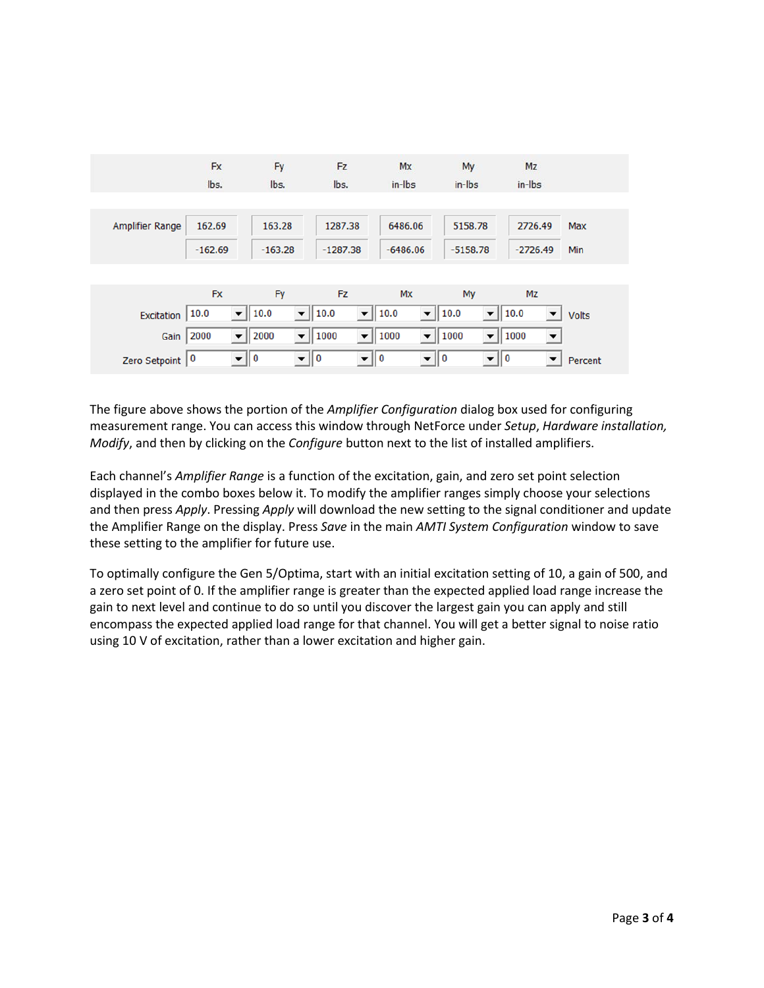|                        | Fx        | Fy                                                            | Fz                                | Mx                                                       | My                                | Mz                           |              |
|------------------------|-----------|---------------------------------------------------------------|-----------------------------------|----------------------------------------------------------|-----------------------------------|------------------------------|--------------|
|                        | lbs.      | lbs.                                                          | lbs.                              | in-lbs                                                   | in-lbs                            | $in$ -Ibs                    |              |
|                        |           |                                                               |                                   |                                                          |                                   |                              |              |
| <b>Amplifier Range</b> | 162.69    | 163.28                                                        | 1287.38                           | 6486.06                                                  | 5158.78                           | 2726.49                      | <b>Max</b>   |
|                        | $-162.69$ | $-163.28$                                                     | $-1287.38$                        | $-6486.06$                                               | $-5158.78$                        | $-2726.49$                   | <b>Min</b>   |
|                        |           |                                                               |                                   |                                                          |                                   |                              |              |
|                        | <b>Fx</b> | Fy                                                            | Fz.                               | Mx                                                       | My                                | Mz                           |              |
| <b>Excitation</b>      | 10.0      | $\blacktriangledown$    10.0<br>▾╎                            | 10.0                              | $\blacktriangledown$   10.0<br>$\blacktriangledown$      | 10.0<br>$\overline{\phantom{a}}$  | $\parallel$ 10.0<br>▼        | <b>Volts</b> |
| Gain                   | 2000      | $\blacktriangledown$<br>$\overline{\phantom{0}}$<br>  2000    | $\parallel$ 1000                  | $\overline{\phantom{a}}$<br>$\blacktriangledown$    1000 | $\overline{\phantom{0}}$<br>1000  | 1000<br>$\blacktriangledown$ |              |
| Zero Setpoint          | 0         | $\mathbf{v} \parallel \mathbf{0}$<br>$\mathbf{v} \parallel 0$ | $\mathbf{v} \parallel \mathbf{0}$ | $\mathbf{v} \parallel 0$                                 | $\mathbf{v} \parallel \mathbf{0}$ | $\blacktriangledown$         | Percent      |

The figure above shows the portion of the *Amplifier Configuration* dialog box used for configuring measurement range. You can access this window through NetForce under *Setup*, *Hardware installation, Modify*, and then by clicking on the *Configure* button next to the list of installed amplifiers.

Each channel's *Amplifier Range* is a function of the excitation, gain, and zero set point selection displayed in the combo boxes below it. To modify the amplifier ranges simply choose your selections and then press *Apply*. Pressing *Apply* will download the new setting to the signal conditioner and update the Amplifier Range on the display. Press *Save* in the main *AMTI System Configuration* window to save these setting to the amplifier for future use.

To optimally configure the Gen 5/Optima, start with an initial excitation setting of 10, a gain of 500, and a zero set point of 0. If the amplifier range is greater than the expected applied load range increase the gain to next level and continue to do so until you discover the largest gain you can apply and still encompass the expected applied load range for that channel. You will get a better signal to noise ratio using 10 V of excitation, rather than a lower excitation and higher gain.